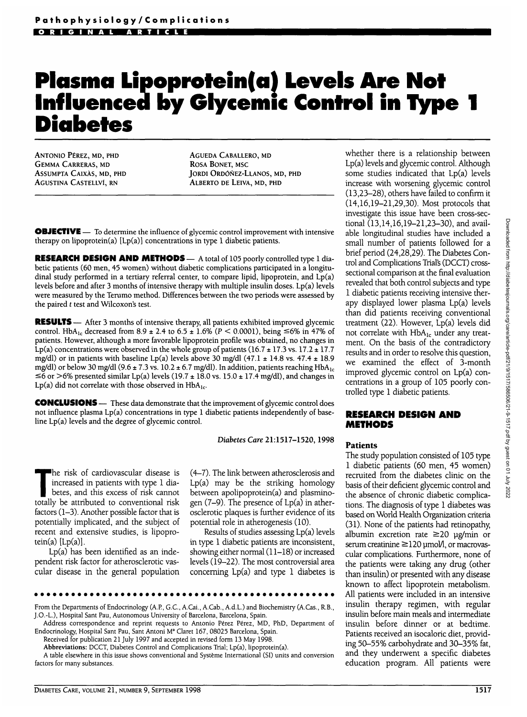# **Plasma Lipoprotein(a) Levels Are Not Influenced by Glycemic Control in Type 1 Diabetes**

ANTONIO P£REZ, MD, PHD GEMMA CARRERAS, MD ASSUMPTA CAIXAS, MD, PHD AGUSTINA CASTELLVI, RN

AGUEDA CABALLERO, MD ROSA BONET, MSC JORDI ORDONEZ-LLANOS, MD, PHD ALBERTO DE LEIVA, MD, PHD

**OBJECTIVE** — To determine the influence of glycemic control improvement with intensive therapy on lipoprotein(a)  $[Lp(a)]$  concentrations in type 1 diabetic patients.

**RESEARCH DESIGN AND METHODS** — A total of 105 poorly controlled type 1 diabetic patients (60 men, 45 women) without diabetic complications participated in a longitudinal study performed in a tertiary referral center, to compare lipid, lipoprotein, and Lp(a) levels before and after 3 months of intensive therapy with multiple insulin doses. Lp(a) levels were measured by the Terumo method. Differences between the two periods were assessed by the paired *t* test and Wilcoxon's test.

**RESULTS** — After 3 months of intensive therapy, all patients exhibited improved glycemic control. HbA<sub>1c</sub> decreased from 8.9 ± 2.4 to 6.5 ± 1.6% ( $P \le 0.0001$ ), being  $\le 6\%$  in 47% of patients. However, although a more favorable lipoprotein profile was obtained, no changes in Lp(a) concentrations were observed in the whole group of patients (16.7  $\pm$  17.3 vs. 17.2  $\pm$  17.7 mg/dl) or in patients with baseline Lp(a) levels above 30 mg/dl (47.1  $\pm$  14.8 vs. 47.4  $\pm$  18.9 mg/dl) or below 30 mg/dl (9.6  $\pm$  7.3 vs. 10.2  $\pm$  6.7 mg/dl). In addition, patients reaching HbA<sub>1c</sub>  $\leq$ 6 or >6% presented similar Lp(a) levels (19.7 ± 18.0 vs. 15.0 ± 17.4 mg/dl), and changes in Lp(a) did not correlate with those observed in  $HbA_{1c}$ .

**CONCLUSIONS** — These data demonstrate that the improvement of glycemic control does not influence plasma Lp(a) concentrations in type 1 diabetic patients independently of baseline Lp(a) levels and the degree of glycemic control.

*Diabetes Care* 21:1517-1520,1998

The risk of cardiovascular disease is increased in patients with type 1 diabetes, and this excess of risk cannot totally be attributed to conventional risk factors (1-3). Another possible factor that is potentially implicated, and the subject of recent and extensive studies, is lipoprotein(a)  $[Lp(a)]$ .

Lp(a) has been identified as an independent risk factor for atherosclerotic vascular disease in the general population (4-7). The link between atherosclerosis and Lp(a) may be the striking homology between apolipoprotein(a) and plasminogen  $(7-9)$ . The presence of  $Lp(a)$  in atherosclerotic plaques is further evidence of its potential role in atherogenesis (10).

Results of studies assessing Lp(a) levels in type 1 diabetic patients are inconsistent, showing either normal (11-18) or increased levels (19-22). The most controversial area concerning Lp(a) and type 1 diabetes is

\*\*\*\*\*\*\*\*\*\*\*\*\*\*\*\*\*\*

From the Departments of Endocrinology (A.P, G.C., A.Cai., A.Cab., A.d.L.) and Biochemistry (A.Cas., R.B., J.O.-L), Hospital Sant Pau, Autonomous University of Barcelona, Barcelona, Spain.

Received for publication 21 July 1997 and accepted in revised form 13 May 1998.

Abbreviations: DCCT, Diabetes Control and Complications Trial; Lp(a), lipoprotein(a).

A table elsewhere in this issue shows conventional and Systeme International (SI) units and conversion factors for many substances.

whether there is a relationship between Lp(a) levels and glycemic control. Although some studies indicated that Lp(a) levels increase with worsening glycemic control (13,23-28), others have failed to confirm it (14,16,19-21,29,30). Most protocols that investigate this issue have been cross-sectional (13,14,16,19-21,23-30), and available longitudinal studies have included a small number of patients followed for a brief period (24,28,29). The Diabetes Control and Complications Trial's (DCCT) crosssectional comparison at the final evaluation revealed that both control subjects and type 1 diabetic patients receiving intensive therapy displayed lower plasma Lp(a) levels than did patients receiving conventional treatment (22). However, Lp(a) levels did not correlate with HbA<sub>lc</sub> under any treatment. On the basis of the contradictory results and in order to resolve this question, we examined the effect of 3-month improved glycemic control on Lp(a) concentrations in a group of 105 poorly controlled type 1 diabetic patients.

# **RESEARCH DESIGN AND METHODS**

### **Patients**

The study population consisted of 105 type 1 diabetic patients (60 men, 45 women) recruited from the diabetes clinic on the basis of their deficient glycemic control and the absence of chronic diabetic complications. The diagnosis of type 1 diabetes was based on World Health Organization criteria (31). None of the patients had retinopathy, albumin excretion rate  $\geq$ 20 ug/min or serum creatinine  $\geq$ 120 µmol/1, or macrovascular complications. Furthermore, none of the patients were taking any drug (other than insulin) or presented with any disease known to affect lipoprotein metabolism. All patients were included in an intensive insulin therapy regimen, with regular insulin before main meals and intermediate insulin before dinner or at bedtime. Patients received an isocaloric diet, providing 50-55% carbohydrate and 30-35% fat, and they underwent a specific diabetes education program. All patients were

Address correspondence and reprint requests to Antonio Pérez Pérez, MD, PhD, Department of Endocrinology, Hospital Sant Pau, Sant Antoni M<sup>a</sup> Claret 167, 08025 Barcelona, Spain.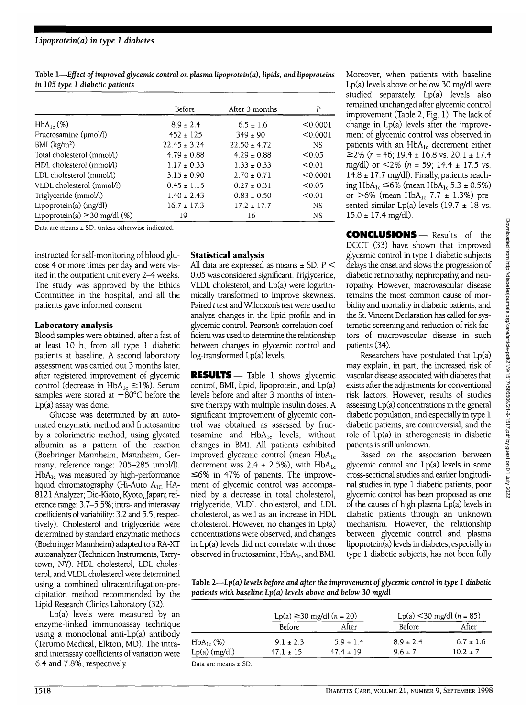# *Lipoprotein(a) in type 1 diabetes*

**Table 1—***Effect of improved glycemic control on plasma lipoprotein(a), lipids, and lipoproteins in 105 type 1 diabetic patients*

|                                    | Before           | After 3 months   | P         |
|------------------------------------|------------------|------------------|-----------|
| $HbA_{1c}$ (%)                     | $8.9 \pm 2.4$    | $6.5 \pm 1.6$    | < 0.0001  |
| Fructosamine (umol/l)              | $452 \pm 125$    | $349 \pm 90$     | < 0.0001  |
| BMI $(kg/m2)$                      | $22.45 \pm 3.24$ | $22.50 \pm 4.72$ | <b>NS</b> |
| Total cholesterol (mmol/l)         | $4.79 \pm 0.88$  | $4.29 \pm 0.88$  | < 0.05    |
| HDL cholesterol (mmol/l)           | $1.17 \pm 0.33$  | $1.33 \pm 0.33$  | < 0.01    |
| LDL cholesterol (mmol/l)           | $3.15 \pm 0.90$  | $2.70 \pm 0.71$  | < 0.0001  |
| VLDL cholesterol (mmol/l)          | $0.45 \pm 1.15$  | $0.27 \pm 0.31$  | < 0.05    |
| Triglyceride (mmol/l)              | $1.40 \pm 2.43$  | $0.83 \pm 0.50$  | < 0.01    |
| Lipoprotein(a) (mg/dl)             | $16.7 \pm 17.3$  | $17.2 \pm 17.7$  | NS.       |
| Lipoprotein(a) $\geq$ 30 mg/dl (%) | 19               | 16               | <b>NS</b> |

Data are means ± SD, unless otherwise indicated.

instructed for self-monitoring of blood glucose 4 or more times per day and were visited in the outpatient unit every 2-4 weeks. The study was approved by the Ethics Committee in the hospital, and all the patients gave informed consent.

# **Laboratory analysis**

Blood samples were obtained, after a fast of at least 10 h, from all type 1 diabetic patients at baseline. A second laboratory assessment was carried out 3 months later, after registered improvement of glycemic control (decrease in  $HbA_{1c} \ge 1\%$ ). Serum samples were stored at  $-80^{\circ}$ C before the Lp(a) assay was done.

Glucose was determined by an automated enzymatic method and fructosamine by a colorimetric method, using glycated albumin as a pattern of the reaction (Boehringer Mannheim, Mannheim, Germany; reference range: 205-285 umol/1).  $HbA_{1c}$  was measured by high-performance liquid chromatography (Hi-Auto  $A_{1C}$  HA-8121 Analyzer; Die-Kioto, Kyoto, Japan; reference range: 3.7-5.5%; intra- and interassay coefficients of variability: 3.2 and 5.5, respectively). Cholesterol and triglyceride were determined by standard enzymatic methods (Boehringer Mannheim) adapted to a RA-XT autoanalyzer (Technicon Instruments, Tarrytown, NY). HDL cholesterol, LDL cholesterol, and VLDL cholesterol were determined using a combined ultracentrifugation-precipitation method recommended by the Lipid Research Clinics Laboratory (32).

Lp(a) levels were measured by an enzyme-linked immunoassay technique using a monoclonal anti-Lp(a) antibody (Terumo Medical, Elkton, MD). The intraand interassay coefficients of variation were 6.4 and 7.8%, respectively.

## **Statistical analysis**

All data are expressed as means  $\pm$  SD. P  $\leq$ 0.05 was considered significant. Triglyceride, VLDL cholesterol, and Lp(a) were logarithmically transformed to improve skewness. Paired *t* test and Wilcoxon's test were used to analyze changes in the lipid profile and in glycemic control. Pearson's correlation coefficient was used to determine the relationship between changes in glycemic control and log-transformed Lp(a) levels.

**RESULTS**— Table 1 shows glycemic control, BMI, lipid, lipoprotein, and Lp(a) levels before and after 3 months of intensive therapy with multiple insulin doses. A significant improvement of glycemic control was obtained as assessed by fructosamine and  $HbA_{1c}$  levels, without changes in BMI. All patients exhibited improved glycemic control (mean HbA<sub>lc</sub> decrement was  $2.4 \pm 2.5\%$ ), with  $HbA_{1c}$  $\leq 6\%$  in 47% of patients. The improvement of glycemic control was accompanied by a decrease in total cholesterol, triglyceride, VLDL cholesterol, and LDL cholesterol, as well as an increase in HDL cholesterol. However, no changes in Lp(a) concentrations were observed, and changes in Lp(a) levels did not correlate with those observed in fructosamine,  $HbA_{1c}$ , and BMI.

Moreover, when patients with baseline Lp(a) levels above or below 30 mg/dl were studied separately, Lp(a) levels also remained unchanged after glycemic control improvement (Table 2, Fig. 1). The lack of change in Lp(a) levels after the improvement of glycemic control was observed in patients with an  $HbA_{1c}$  decrement either  $≥2%$  (n = 46; 19.4 ± 16.8 vs. 20.1 ± 17.4 mg/dl) or  $\lt 2\%$  (n = 59; 14.4  $\pm$  17.5 vs.  $14.8 \pm 17.7$  mg/dl). Finally, patients reaching  $HbA_{1c} \leq 6\%$  (mean  $HbA_{1c}$  5.3 ± 0.5%) or  $>6\%$  (mean HbA<sub>lc</sub> 7.7  $\pm$  1.3%) presented similar  $Lp(a)$  levels (19.7  $\pm$  18 vs.  $15.0 \pm 17.4$  mg/dl).

**CONCLUSIONS** — Results of the DCCT (33) have shown that improved glycemic control in type 1 diabetic subjects delays the onset and slows the progression of diabetic retinopathy, nephropathy, and neuropathy. However, macrovascular disease remains the most common cause of morbidity and mortality in diabetic patients, and the St. Vincent Declaration has called for systematic screening and reduction of risk factors of macrovascular disease in such patients (34).

Researchers have postulated that Lp(a) may explain, in part, the increased risk of vascular disease associated with diabetes that exists after the adjustments for conventional risk factors. However, results of studies assessing Lp(a) concentrations in the general diabetic population, and especially in type 1 diabetic patients, are controversial, and the role of Lp(a) in atherogenesis in diabetic patients is still unknown.

Based on the association between glycemic control and Lp(a) levels in some cross-sectional studies and earlier longitudinal studies in type 1 diabetic patients, poor glycemic control has been proposed as one of the causes of high plasma Lp(a) levels in diabetic patients through an unknown mechanism. However, the relationship between glycemic control and plasma lipoprotein(a) levels in diabetes, especially in type 1 diabetic subjects, has not been fully

Table 2—*Lp(a) levels before and after the improvement ofglycemic control in type 1 diabetic patients with baseline Lp(a) levels above and below 30 mg/dl*

|                 | Lp(a) ≥30 mg/dl (n = 20) |               | Lp(a) $<$ 30 mg/dl (n = 85) |               |
|-----------------|--------------------------|---------------|-----------------------------|---------------|
|                 | <b>Before</b>            | After         | <b>Before</b>               | After         |
| $HbA_{1c}$ (%)  | $9.1 \pm 2.3$            | $5.9 \pm 1.4$ | $8.9 \pm 2.4$               | $6.7 \pm 1.6$ |
| $Lp(a)$ (mg/dl) | $47.1 \pm 15$            | $47.4 \pm 19$ | $9.6 + 7$                   | $10.2 \pm 7$  |

Data are means ± SD.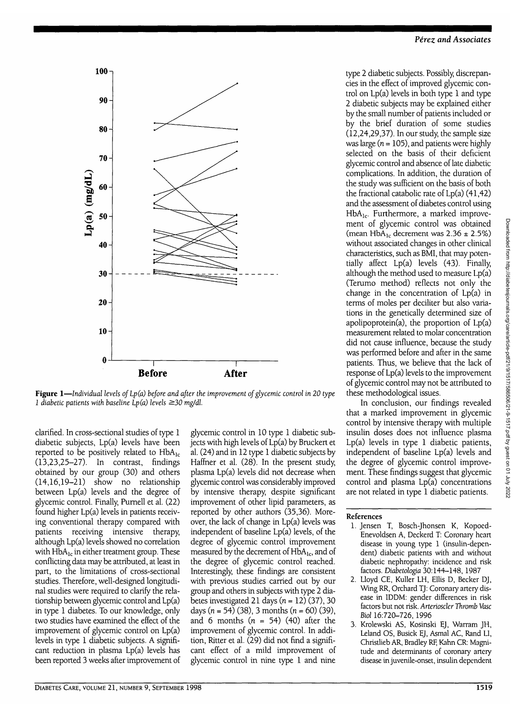

**Figure 1—***Individual levels of Lp(a) before and after the improvement of glycemic control in 20 type 1 diabetic patients with baseline Lp(a) levels ^30 mg/dl.*

clarified. In cross-sectional studies of type 1 diabetic subjects, Lp(a) levels have been reported to be positively related to  $HbA_{1c}$ (13,23,25-27). In contrast, findings obtained by our group (30) and others (14,16,19-21) show no relationship between Lp(a) levels and the degree of glycemic control. Finally, Purnell et al. (22) found higher Lp(a) levels in patients receiving conventional therapy compared with patients receiving intensive therapy, although Lp(a) levels showed no correlation with  $HbA_{1c}$  in either treatment group. These conflicting data may be attributed, at least in part, to the limitations of cross-sectional studies. Therefore, well-designed longitudinal studies were required to clarify the relationship between glycemic control and Lp(a) in type 1 diabetes. To our knowledge, only two studies have examined the effect of the improvement of glycemic control on Lp(a) levels in type 1 diabetic subjects. A significant reduction in plasma Lp(a) levels has been reported 3 weeks after improvement of

glycemic control in 10 type 1 diabetic subjects with high levels of Lp(a) by Bruckert et al. (24) and in 12 type 1 diabetic subjects by Haffner et al. (28). In the present study, plasma Lp(a) levels did not decrease when glycemic control was considerably improved by intensive therapy, despite significant improvement of other lipid parameters, as reported by other authors (35,36). Moreover, the lack of change in Lp(a) levels was independent of baseline Lp(a) levels, of the degree of glycemic control improvement measured by the decrement of  $HbA_{1c}$ , and of the degree of glycemic control reached. Interestingly, these findings are consistent with previous studies carried out by our group and others in subjects with type 2 diabetes investigated 21 days  $(n = 12)$  (37), 30 days ( $n = 54$ ) (38), 3 months ( $n = 60$ ) (39), and 6 months (n *=* 54) (40) after the improvement of glycemic control. In addition, Ritter et al. (29) did not find a significant effect of a mild improvement of glycemic control in nine type 1 and nine

type 2 diabetic subjects. Possibly, discrepancies in the effect of improved glycemic control on Lp(a) levels in both type 1 and type 2 diabetic subjects may be explained either by the small number of patients included or by the brief duration of some studies (12,24,29,37). In our study, the sample size was large ( $n = 105$ ), and patients were highly selected on the basis of their deficient glycemic control and absence of late diabetic complications. In addition, the duration of the study was sufficient on the basis of both the fractional catabolic rate of  $Lp(a)$  (41,42) and the assessment of diabetes control using HbA<sub>lc</sub>. Furthermore, a marked improvement of glycemic control was obtained (mean HbA<sub>lc</sub> decrement was  $2.36 \pm 2.5\%$ ) without associated changes in other clinical characteristics, such as BMI, that may potentially affect Lp(a) levels (43). Finally, although the method used to measure Lp(a) (Terumo method) reflects not only the change in the concentration of Lp(a) in terms of moles per deciliter but also variations in the genetically determined size of apolipoprotein(a), the proportion of Lp(a) measurement related to molar concentration did not cause influence, because the study was performed before and after in the same patients. Thus, we believe that the lack of response of Lp(a) levels to the improvement ofglycemic control may not be attributed to these methodological issues.

In conclusion, our findings revealed that a marked improvement in glycemic control by intensive therapy with multiple insulin doses does not influence plasma Lp(a) levels in type 1 diabetic patients, independent of baseline Lp(a) levels and the degree of glycemic control improvement. These findings suggest that glycemic control and plasma Lp(a) concentrations are not related in type 1 diabetic patients.

### References

- 1. Jensen T, Bosch-Jhonsen K, Kopoed-Enevoldsen A, Deckerd T: Coronary heart disease in young type 1 (insulin-dependent) diabetic patients with and without diabetic nephropathy: incidence and risk factors. *Diabetologia* 30:144-148, 1987
- 2. Lloyd CE, Kuller LH, Ellis D, Becker DJ, Wing RR, Orchard TJ: Coronary artery disease in IDDM: gender differences in risk factors but not risk. *Arterioscler Thromb Vase Biol* 16:720-726,1996
- 3. Krolewski AS, Kosinski EJ, Warram JH, Leland OS, Busick EJ, Asmal AC, Rand LI, Christlieb AR, Bradley RE. Kahn CR: Magnitude and determinants of coronary artery disease in juvenile-onset, insulin dependent